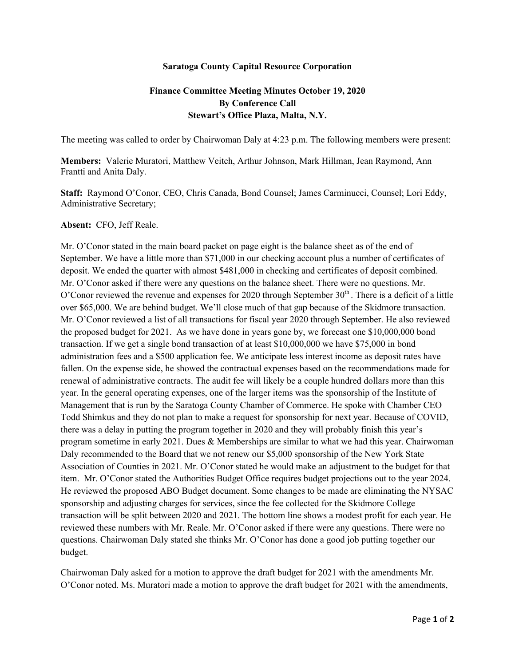## **Saratoga County Capital Resource Corporation**

## **Finance Committee Meeting Minutes October 19, 2020 By Conference Call Stewart's Office Plaza, Malta, N.Y.**

The meeting was called to order by Chairwoman Daly at 4:23 p.m. The following members were present:

**Members:** Valerie Muratori, Matthew Veitch, Arthur Johnson, Mark Hillman, Jean Raymond, Ann Frantti and Anita Daly.

**Staff:** Raymond O'Conor, CEO, Chris Canada, Bond Counsel; James Carminucci, Counsel; Lori Eddy, Administrative Secretary;

## **Absent:** CFO, Jeff Reale.

Mr. O'Conor stated in the main board packet on page eight is the balance sheet as of the end of September. We have a little more than \$71,000 in our checking account plus a number of certificates of deposit. We ended the quarter with almost \$481,000 in checking and certificates of deposit combined. Mr. O'Conor asked if there were any questions on the balance sheet. There were no questions. Mr. O'Conor reviewed the revenue and expenses for 2020 through September  $30<sup>th</sup>$ . There is a deficit of a little over \$65,000. We are behind budget. We'll close much of that gap because of the Skidmore transaction. Mr. O'Conor reviewed a list of all transactions for fiscal year 2020 through September. He also reviewed the proposed budget for 2021. As we have done in years gone by, we forecast one \$10,000,000 bond transaction. If we get a single bond transaction of at least \$10,000,000 we have \$75,000 in bond administration fees and a \$500 application fee. We anticipate less interest income as deposit rates have fallen. On the expense side, he showed the contractual expenses based on the recommendations made for renewal of administrative contracts. The audit fee will likely be a couple hundred dollars more than this year. In the general operating expenses, one of the larger items was the sponsorship of the Institute of Management that is run by the Saratoga County Chamber of Commerce. He spoke with Chamber CEO Todd Shimkus and they do not plan to make a request for sponsorship for next year. Because of COVID, there was a delay in putting the program together in 2020 and they will probably finish this year's program sometime in early 2021. Dues & Memberships are similar to what we had this year. Chairwoman Daly recommended to the Board that we not renew our \$5,000 sponsorship of the New York State Association of Counties in 2021. Mr. O'Conor stated he would make an adjustment to the budget for that item. Mr. O'Conor stated the Authorities Budget Office requires budget projections out to the year 2024. He reviewed the proposed ABO Budget document. Some changes to be made are eliminating the NYSAC sponsorship and adjusting charges for services, since the fee collected for the Skidmore College transaction will be split between 2020 and 2021. The bottom line shows a modest profit for each year. He reviewed these numbers with Mr. Reale. Mr. O'Conor asked if there were any questions. There were no questions. Chairwoman Daly stated she thinks Mr. O'Conor has done a good job putting together our budget.

Chairwoman Daly asked for a motion to approve the draft budget for 2021 with the amendments Mr. O'Conor noted. Ms. Muratori made a motion to approve the draft budget for 2021 with the amendments,